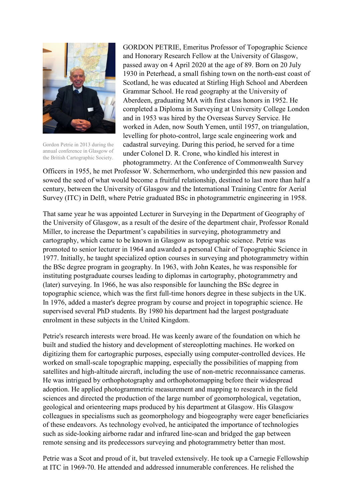

Gordon Petrie in 2013 during the annual conference in Glasgow of the British Cartographic Society.

GORDON PETRIE, Emeritus Professor of Topographic Science and Honorary Research Fellow at the University of Glasgow, passed away on 4 April 2020 at the age of 89. Born on 20 July 1930 in Peterhead, a small fishing town on the north-east coast of Scotland, he was educated at Stirling High School and Aberdeen Grammar School. He read geography at the University of Aberdeen, graduating MA with first class honors in 1952. He completed a Diploma in Surveying at University College London and in 1953 was hired by the Overseas Survey Service. He worked in Aden, now South Yemen, until 1957, on triangulation, levelling for photo-control, large scale engineering work and cadastral surveying. During this period, he served for a time under Colonel D. R. Crone, who kindled his interest in photogrammetry. At the Conference of Commonwealth Survey

Officers in 1955, he met Professor W. Schermerhorn, who undergirded this new passion and sowed the seed of what would become a fruitful relationship, destined to last more than half a century, between the University of Glasgow and the International Training Centre for Aerial Survey (ITC) in Delft, where Petrie graduated BSc in photogrammetric engineering in 1958.

That same year he was appointed Lecturer in Surveying in the Department of Geography of the University of Glasgow, as a result of the desire of the department chair, Professor Ronald Miller, to increase the Department's capabilities in surveying, photogrammetry and cartography, which came to be known in Glasgow as topographic science. Petrie was promoted to senior lecturer in 1964 and awarded a personal Chair of Topographic Science in 1977. Initially, he taught specialized option courses in surveying and photogrammetry within the BSc degree program in geography. In 1963, with John Keates, he was responsible for instituting postgraduate courses leading to diplomas in cartography, photogrammetry and (later) surveying. In 1966, he was also responsible for launching the BSc degree in topographic science, which was the first full-time honors degree in these subjects in the UK. In 1976, added a master's degree program by course and project in topographic science. He supervised several PhD students. By 1980 his department had the largest postgraduate enrolment in these subjects in the United Kingdom.

Petrie's research interests were broad. He was keenly aware of the foundation on which he built and studied the history and development of stereoplotting machines. He worked on digitizing them for cartographic purposes, especially using computer-controlled devices. He worked on small-scale topographic mapping, especially the possibilities of mapping from satellites and high-altitude aircraft, including the use of non-metric reconnaissance cameras. He was intrigued by orthophotography and orthophotomapping before their widespread adoption. He applied photogrammetric measurement and mapping to research in the field sciences and directed the production of the large number of geomorphological, vegetation, geological and orienteering maps produced by his department at Glasgow. His Glasgow colleagues in specialisms such as geomorphology and biogeography were eager beneficiaries of these endeavors. As technology evolved, he anticipated the importance of technologies such as side-looking airborne radar and infrared line-scan and bridged the gap between remote sensing and its predecessors surveying and photogrammetry better than most.

Petrie was a Scot and proud of it, but traveled extensively. He took up a Carnegie Fellowship at ITC in 1969-70. He attended and addressed innumerable conferences. He relished the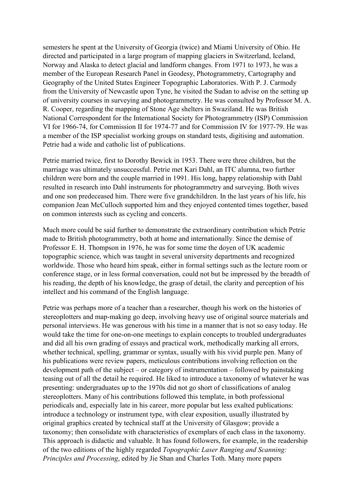semesters he spent at the University of Georgia (twice) and Miami University of Ohio. He directed and participated in a large program of mapping glaciers in Switzerland, Iceland, Norway and Alaska to detect glacial and landform changes. From 1971 to 1973, he was a member of the European Research Panel in Geodesy, Photogrammetry, Cartography and Geography of the United States Engineer Topographic Laboratories. With P. J. Carmody from the University of Newcastle upon Tyne, he visited the Sudan to advise on the setting up of university courses in surveying and photogrammetry. He was consulted by Professor M. A. R. Cooper, regarding the mapping of Stone Age shelters in Swaziland. He was British National Correspondent for the International Society for Photogrammetry (ISP) Commission VI for 1966-74, for Commission II for 1974-77 and for Commission IV for 1977-79. He was a member of the ISP specialist working groups on standard tests, digitising and automation. Petrie had a wide and catholic list of publications.

Petrie married twice, first to Dorothy Bewick in 1953. There were three children, but the marriage was ultimately unsuccessful. Petrie met Kari Dahl, an ITC alumna, two further children were born and the couple married in 1991. His long, happy relationship with Dahl resulted in research into Dahl instruments for photogrammetry and surveying. Both wives and one son predeceased him. There were five grandchildren. In the last years of his life, his companion Jean McCulloch supported him and they enjoyed contented times together, based on common interests such as cycling and concerts.

Much more could be said further to demonstrate the extraordinary contribution which Petrie made to British photogrammetry, both at home and internationally. Since the demise of Professor E. H. Thompson in 1976, he was for some time the doyen of UK academic topographic science, which was taught in several university departments and recognized worldwide. Those who heard him speak, either in formal settings such as the lecture room or conference stage, or in less formal conversation, could not but be impressed by the breadth of his reading, the depth of his knowledge, the grasp of detail, the clarity and perception of his intellect and his command of the English language.

Petrie was perhaps more of a teacher than a researcher, though his work on the histories of stereoplotters and map-making go deep, involving heavy use of original source materials and personal interviews. He was generous with his time in a manner that is not so easy today. He would take the time for one-on-one meetings to explain concepts to troubled undergraduates and did all his own grading of essays and practical work, methodically marking all errors, whether technical, spelling, grammar or syntax, usually with his vivid purple pen. Many of his publications were review papers, meticulous contributions involving reflection on the development path of the subject – or category of instrumentation – followed by painstaking teasing out of all the detail he required. He liked to introduce a taxonomy of whatever he was presenting: undergraduates up to the 1970s did not go short of classifications of analog stereoplotters. Many of his contributions followed this template, in both professional periodicals and, especially late in his career, more popular but less exalted publications: introduce a technology or instrument type, with clear exposition, usually illustrated by original graphics created by technical staff at the University of Glasgow; provide a taxonomy; then consolidate with characteristics of exemplars of each class in the taxonomy. This approach is didactic and valuable. It has found followers, for example, in the readership of the two editions of the highly regarded *Topographic Laser Ranging and Scanning: Principles and Processing*, edited by Jie Shan and Charles Toth. Many more papers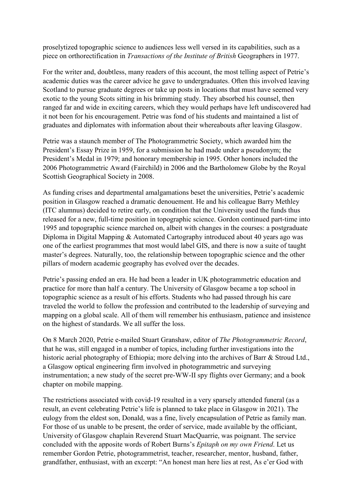proselytized topographic science to audiences less well versed in its capabilities, such as a piece on orthorectification in *Transactions of the Institute of British* Geographers in 1977.

For the writer and, doubtless, many readers of this account, the most telling aspect of Petrie's academic duties was the career advice he gave to undergraduates. Often this involved leaving Scotland to pursue graduate degrees or take up posts in locations that must have seemed very exotic to the young Scots sitting in his brimming study. They absorbed his counsel, then ranged far and wide in exciting careers, which they would perhaps have left undiscovered had it not been for his encouragement. Petrie was fond of his students and maintained a list of graduates and diplomates with information about their whereabouts after leaving Glasgow.

Petrie was a staunch member of The Photogrammetric Society, which awarded him the President's Essay Prize in 1959, for a submission he had made under a pseudonym; the President's Medal in 1979; and honorary membership in 1995. Other honors included the 2006 Photogrammetric Award (Fairchild) in 2006 and the Bartholomew Globe by the Royal Scottish Geographical Society in 2008.

As funding crises and departmental amalgamations beset the universities, Petrie's academic position in Glasgow reached a dramatic denouement. He and his colleague Barry Methley (ITC alumnus) decided to retire early, on condition that the University used the funds thus released for a new, full-time position in topographic science. Gordon continued part-time into 1995 and topographic science marched on, albeit with changes in the courses: a postgraduate Diploma in Digital Mapping & Automated Cartography introduced about 40 years ago was one of the earliest programmes that most would label GIS, and there is now a suite of taught master's degrees. Naturally, too, the relationship between topographic science and the other pillars of modern academic geography has evolved over the decades.

Petrie's passing ended an era. He had been a leader in UK photogrammetric education and practice for more than half a century. The University of Glasgow became a top school in topographic science as a result of his efforts. Students who had passed through his care traveled the world to follow the profession and contributed to the leadership of surveying and mapping on a global scale. All of them will remember his enthusiasm, patience and insistence on the highest of standards. We all suffer the loss.

On 8 March 2020, Petrie e-mailed Stuart Granshaw, editor of *The Photogrammetric Record*, that he was, still engaged in a number of topics, including further investigations into the historic aerial photography of Ethiopia; more delving into the archives of Barr & Stroud Ltd., a Glasgow optical engineering firm involved in photogrammetric and surveying instrumentation; a new study of the secret pre-WW-II spy flights over Germany; and a book chapter on mobile mapping.

The restrictions associated with covid-19 resulted in a very sparsely attended funeral (as a result, an event celebrating Petrie's life is planned to take place in Glasgow in 2021). The eulogy from the eldest son, Donald, was a fine, lively encapsulation of Petrie as family man. For those of us unable to be present, the order of service, made available by the officiant, University of Glasgow chaplain Reverend Stuart MacQuarrie, was poignant. The service concluded with the apposite words of Robert Burns's *Epitaph on my own Friend*. Let us remember Gordon Petrie, photogrammetrist, teacher, researcher, mentor, husband, father, grandfather, enthusiast, with an excerpt: "An honest man here lies at rest, As e'er God with